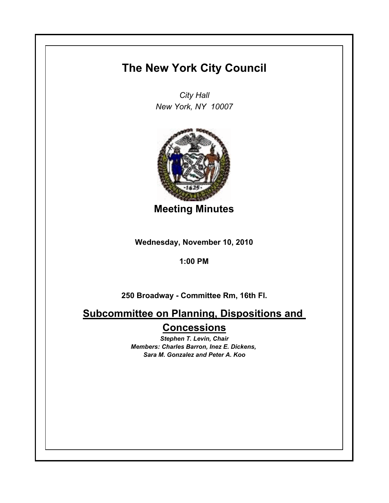## **The New York City Council**

*City Hall New York, NY 10007*



**Meeting Minutes**

**Wednesday, November 10, 2010**

**1:00 PM**

**250 Broadway - Committee Rm, 16th Fl.**

**Subcommittee on Planning, Dispositions and Concessions**

> *Stephen T. Levin, Chair Members: Charles Barron, Inez E. Dickens, Sara M. Gonzalez and Peter A. Koo*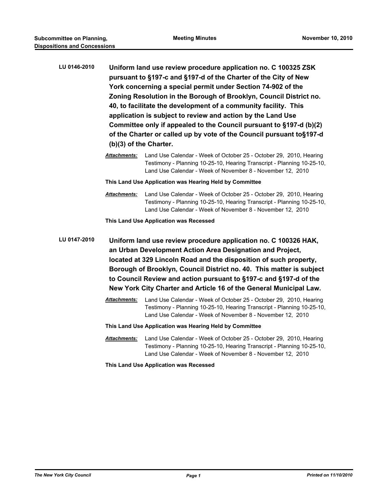| LU 0146-2010 | Uniform land use review procedure application no. C 100325 ZSK       |
|--------------|----------------------------------------------------------------------|
|              | pursuant to §197-c and §197-d of the Charter of the City of New      |
|              | York concerning a special permit under Section 74-902 of the         |
|              | Zoning Resolution in the Borough of Brooklyn, Council District no.   |
|              | 40, to facilitate the development of a community facility. This      |
|              | application is subject to review and action by the Land Use          |
|              | Committee only if appealed to the Council pursuant to §197-d (b)(2)  |
|              | of the Charter or called up by vote of the Council pursuant to§197-d |
|              | $(b)(3)$ of the Charter.                                             |
|              |                                                                      |

*Attachments:* Land Use Calendar - Week of October 25 - October 29, 2010, Hearing Testimony - Planning 10-25-10, Hearing Transcript - Planning 10-25-10, Land Use Calendar - Week of November 8 - November 12, 2010

**This Land Use Application was Hearing Held by Committee**

*Attachments:* Land Use Calendar - Week of October 25 - October 29, 2010, Hearing Testimony - Planning 10-25-10, Hearing Transcript - Planning 10-25-10, Land Use Calendar - Week of November 8 - November 12, 2010

**This Land Use Application was Recessed**

**LU 0147-2010 Uniform land use review procedure application no. C 100326 HAK, an Urban Development Action Area Designation and Project, located at 329 Lincoln Road and the disposition of such property, Borough of Brooklyn, Council District no. 40. This matter is subject to Council Review and action pursuant to §197-c and §197-d of the New York City Charter and Article 16 of the General Municipal Law.**

- *Attachments:* Land Use Calendar Week of October 25 October 29, 2010, Hearing Testimony - Planning 10-25-10, Hearing Transcript - Planning 10-25-10, Land Use Calendar - Week of November 8 - November 12, 2010
- **This Land Use Application was Hearing Held by Committee**
- *Attachments:* Land Use Calendar Week of October 25 October 29, 2010, Hearing Testimony - Planning 10-25-10, Hearing Transcript - Planning 10-25-10, Land Use Calendar - Week of November 8 - November 12, 2010

**This Land Use Application was Recessed**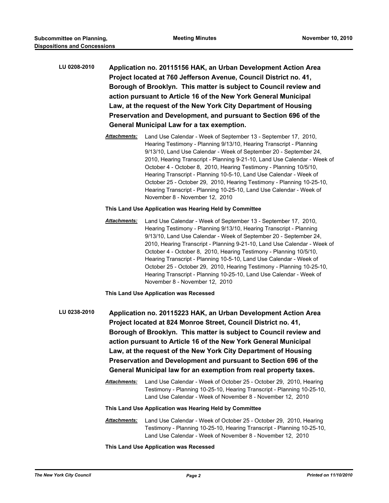- **LU 0208-2010 Application no. 20115156 HAK, an Urban Development Action Area Project located at 760 Jefferson Avenue, Council District no. 41, Borough of Brooklyn. This matter is subject to Council review and action pursuant to Article 16 of the New York General Municipal Law, at the request of the New York City Department of Housing Preservation and Development, and pursuant to Section 696 of the General Municipal Law for a tax exemption.**
	- *Attachments:* Land Use Calendar Week of September 13 September 17, 2010, Hearing Testimony - Planning 9/13/10, Hearing Transcript - Planning 9/13/10, Land Use Calendar - Week of September 20 - September 24, 2010, Hearing Transcript - Planning 9-21-10, Land Use Calendar - Week of October 4 - October 8, 2010, Hearing Testimony - Planning 10/5/10, Hearing Transcript - Planning 10-5-10, Land Use Calendar - Week of October 25 - October 29, 2010, Hearing Testimony - Planning 10-25-10, Hearing Transcript - Planning 10-25-10, Land Use Calendar - Week of November 8 - November 12, 2010

## **This Land Use Application was Hearing Held by Committee**

*Attachments:* Land Use Calendar - Week of September 13 - September 17, 2010, Hearing Testimony - Planning 9/13/10, Hearing Transcript - Planning 9/13/10, Land Use Calendar - Week of September 20 - September 24, 2010, Hearing Transcript - Planning 9-21-10, Land Use Calendar - Week of October 4 - October 8, 2010, Hearing Testimony - Planning 10/5/10, Hearing Transcript - Planning 10-5-10, Land Use Calendar - Week of October 25 - October 29, 2010, Hearing Testimony - Planning 10-25-10, Hearing Transcript - Planning 10-25-10, Land Use Calendar - Week of November 8 - November 12, 2010

**This Land Use Application was Recessed**

- **LU 0238-2010 Application no. 20115223 HAK, an Urban Development Action Area Project located at 824 Monroe Street, Council District no. 41, Borough of Brooklyn. This matter is subject to Council review and action pursuant to Article 16 of the New York General Municipal Law, at the request of the New York City Department of Housing Preservation and Development and pursuant to Section 696 of the General Municipal law for an exemption from real property taxes.**
	- *Attachments:* Land Use Calendar Week of October 25 October 29, 2010, Hearing Testimony - Planning 10-25-10, Hearing Transcript - Planning 10-25-10, Land Use Calendar - Week of November 8 - November 12, 2010

## **This Land Use Application was Hearing Held by Committee**

*Attachments:* Land Use Calendar - Week of October 25 - October 29, 2010, Hearing Testimony - Planning 10-25-10, Hearing Transcript - Planning 10-25-10, Land Use Calendar - Week of November 8 - November 12, 2010

**This Land Use Application was Recessed**